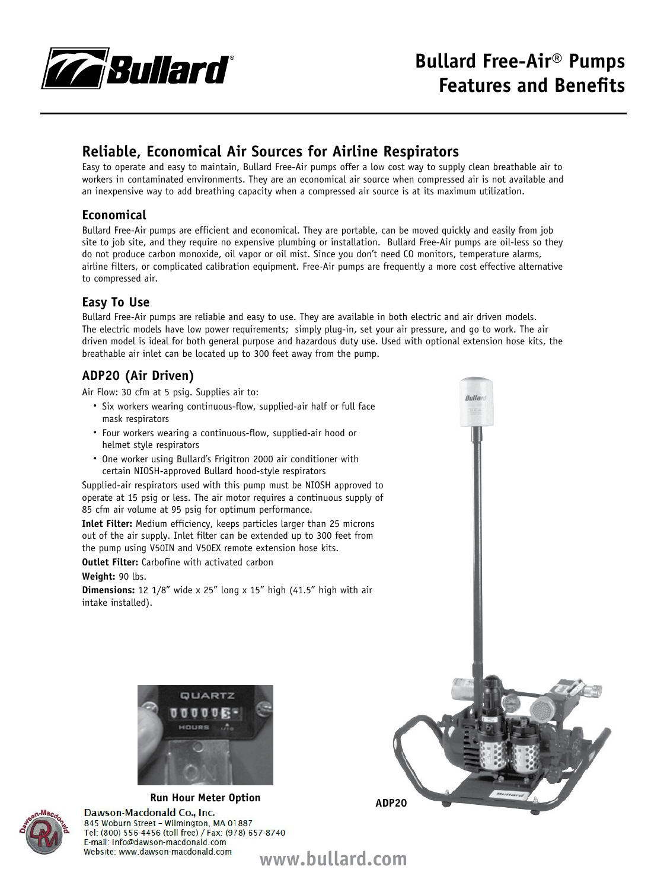

## **Reliable, Economical Air Sources for Airline Respirators**

Easy to operate and easy to maintain, Bullard Free-Air pumps offer a low cost way to supply clean breathable air to workers in contaminated environments. They are an economical air source when compressed air is not available and an inexpensive way to add breathing capacity when a compressed air source is at its maximum utilization.

### **Economical**

Bullard Free-Air pumps are efficient and economical. They are portable, can be moved quickly and easily from job site to job site, and they require no expensive plumbing or installation. Bullard Free-Air pumps are oil-less so they do not produce carbon monoxide, oil vapor or oil mist. Since you don't need CO monitors, temperature alarms, airline filters, or complicated calibration equipment. Free-Air pumps are frequently a more cost effective alternative to compressed air.

## **Easy To Use**

Bullard Free-Air pumps are reliable and easy to use. They are available in both electric and air driven models. The electric models have low power requirements; simply plug-in, set your air pressure, and go to work. The air driven model is ideal for both general purpose and hazardous duty use. Used with optional extension hose kits, the breathable air inlet can be located up to 300 feet away from the pump.

## **ADP20 (Air Driven)**

Air Flow: 30 cfm at 5 psig. Supplies air to:

- Six workers wearing continuous-flow, supplied-air half or full face mask respirators
- Four workers wearing a continuous-flow, supplied-air hood or helmet style respirators
- • One worker using Bullard's Frigitron 2000 air conditioner with certain NIOSH-approved Bullard hood-style respirators

Supplied-air respirators used with this pump must be NIOSH approved to operate at 15 psig or less. The air motor requires a continuous supply of 85 cfm air volume at 95 psig for optimum performance.

**Inlet Filter:** Medium efficiency, keeps particles larger than 25 microns out of the air supply. Inlet filter can be extended up to 300 feet from the pump using V50IN and V50EX remote extension hose kits.

**Outlet Filter:** Carbofine with activated carbon

**Weight:** 90 lbs.

**Dimensions:** 12 1/8" wide x 25" long x 15" high (41.5" high with air intake installed).





**Run Hour Meter Option**<br>Dawson-Macdonald Co., Inc. 845 Woburn Street - Wilmington, MA 01887 Tel: (800) 556-4456 (toll free) / Fax: (978) 657-8740 E-mail: info@dawson-macdonald.com Website: www.dawson-macdonald.com



**www.bullard.com**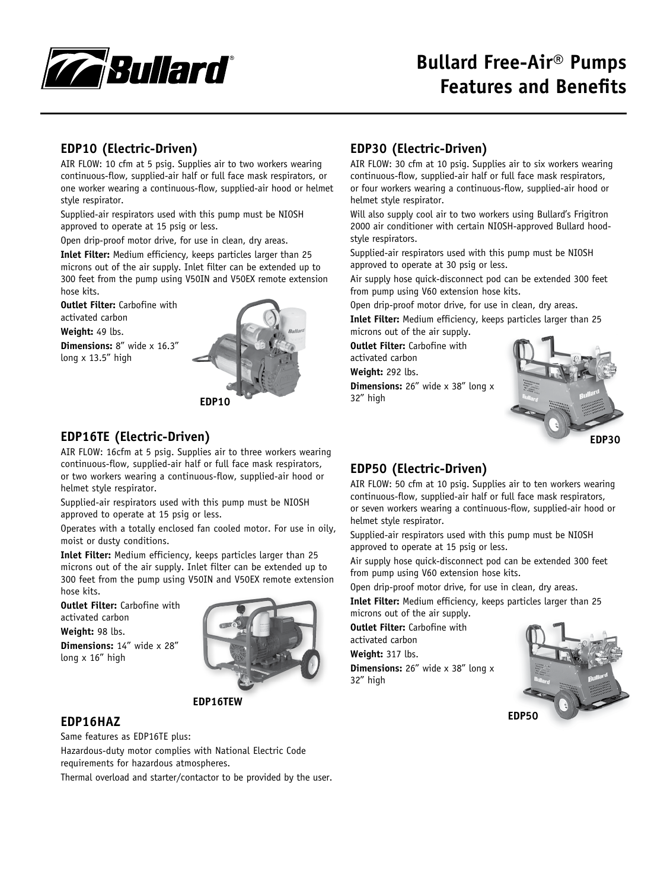

## **EDP10 (Electric-Driven)**

AIR FLOW: 10 cfm at 5 psig. Supplies air to two workers wearing continuous-flow, supplied-air half or full face mask respirators, or one worker wearing a continuous-flow, supplied-air hood or helmet style respirator.

Supplied-air respirators used with this pump must be NIOSH approved to operate at 15 psig or less.

Open drip-proof motor drive, for use in clean, dry areas.

**Inlet Filter:** Medium efficiency, keeps particles larger than 25 microns out of the air supply. Inlet filter can be extended up to 300 feet from the pump using V50IN and V50EX remote extension hose kits.

**Outlet Filter:** Carbofine with activated carbon

**Weight:** 49 lbs.

**Dimensions:** 8" wide x 16.3" long x 13.5" high



## **EDP16TE (Electric-Driven)**

AIR FLOW: 16cfm at 5 psig. Supplies air to three workers wearing continuous-flow, supplied-air half or full face mask respirators, or two workers wearing a continuous-flow, supplied-air hood or helmet style respirator.

Supplied-air respirators used with this pump must be NIOSH approved to operate at 15 psig or less.

Operates with a totally enclosed fan cooled motor. For use in oily, moist or dusty conditions.

**Inlet Filter:** Medium efficiency, keeps particles larger than 25 microns out of the air supply. Inlet filter can be extended up to 300 feet from the pump using V50IN and V50EX remote extension hose kits.

**Outlet Filter:** Carbofine with activated carbon **Weight:** 98 lbs. **Dimensions:** 14" wide x 28" long x 16" high



#### **EDP16TEW**

#### **EDP16HAZ**

Same features as EDP16TE plus: Hazardous-duty motor complies with National Electric Code requirements for hazardous atmospheres. Thermal overload and starter/contactor to be provided by the user.

### **EDP30 (Electric-Driven)**

AIR FLOW: 30 cfm at 10 psig. Supplies air to six workers wearing continuous-flow, supplied-air half or full face mask respirators, or four workers wearing a continuous-flow, supplied-air hood or helmet style respirator.

Will also supply cool air to two workers using Bullard's Frigitron 2000 air conditioner with certain NIOSH-approved Bullard hoodstyle respirators.

Supplied-air respirators used with this pump must be NIOSH approved to operate at 30 psig or less.

Air supply hose quick-disconnect pod can be extended 300 feet from pump using V60 extension hose kits.

Open drip-proof motor drive, for use in clean, dry areas.

**Inlet Filter:** Medium efficiency, keeps particles larger than 25 microns out of the air supply.

**Outlet Filter:** Carbofine with

activated carbon **Weight:** 292 lbs.

**Dimensions:** 26" wide x 38" long x 32" high



## **EDP50 (Electric-Driven)**

AIR FLOW: 50 cfm at 10 psig. Supplies air to ten workers wearing continuous-flow, supplied-air half or full face mask respirators, or seven workers wearing a continuous-flow, supplied-air hood or helmet style respirator.

Supplied-air respirators used with this pump must be NIOSH approved to operate at 15 psig or less.

Air supply hose quick-disconnect pod can be extended 300 feet from pump using V60 extension hose kits.

Open drip-proof motor drive, for use in clean, dry areas.

**Inlet Filter:** Medium efficiency, keeps particles larger than 25 microns out of the air supply.

**Outlet Filter:** Carbofine with activated carbon

**Weight:** 317 lbs.

**Dimensions:** 26" wide x 38" long x 32" high

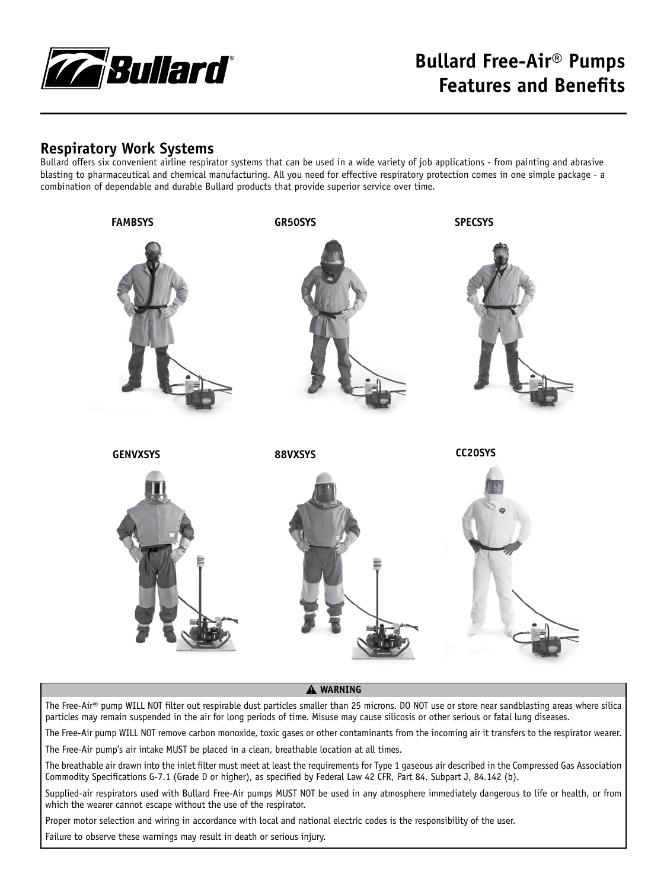

## **Respiratory Work Systems**

Bullard offers six convenient airline respirator systems that can be used in a wide variety of job applications - from painting and abrasive blasting to pharmaceutical and chemical manufacturing. All you need for effective respiratory protection comes in one simple package - a combination of dependable and durable Bullard products that provide superior service over time.



#### � **WARNING**

The Free-Air® pump WILL NOT filter out respirable dust particles smaller than 25 microns. DO NOT use or store near sandblasting areas where silica particles may remain suspended in the air for long periods of time. Misuse may cause silicosis or other serious or fatal lung diseases.

The Free-Air pump WILL NOT remove carbon monoxide, toxic gases or other contaminants from the incoming air it transfers to the respirator wearer. The Free-Air pump's air intake MUST be placed in a clean, breathable location at all times.

The breathable air drawn into the inlet filter must meet at least the requirements for Type 1 gaseous air described in the Compressed Gas Association Commodity Specifications G-7.1 (Grade D or higher), as specified by Federal Law 42 CFR, Part 84, Subpart J, 84.142 (b).

Supplied-air respirators used with Bullard Free-Air pumps MUST NOT be used in any atmosphere immediately dangerous to life or health, or from which the wearer cannot escape without the use of the respirator.

Proper motor selection and wiring in accordance with local and national electric codes is the responsibility of the user.

Failure to observe these warnings may result in death or serious injury.